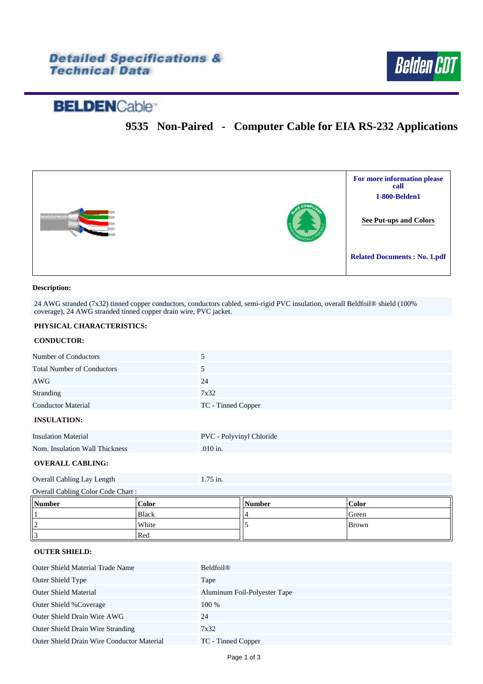### **Detailed Specifications & Technical Data**



# **BELDEN**Cable<sup>®</sup>

## **9535 Non-Paired - Computer Cable for EIA RS-232 Applications**



#### **Description:**

24 AWG stranded (7x32) tinned copper conductors, conductors cabled, semi-rigid PVC insulation, overall Beldfoil® shield (100% coverage), 24 AWG stranded tinned copper drain wire, PVC jacket.

#### **PHYSICAL CHARACTERISTICS:**

#### **CONDUCTOR:**

| Number of Conductors              | 5                  |
|-----------------------------------|--------------------|
| <b>Total Number of Conductors</b> |                    |
| AWG                               | 24                 |
| Stranding                         | 7x32               |
| <b>Conductor Material</b>         | TC - Tinned Copper |
| <b>INSULATION:</b>                |                    |

#### **INSULATION:**

| <b>Insulation Material</b>     | PVC - Polyvinyl Chloride |
|--------------------------------|--------------------------|
| Nom. Insulation Wall Thickness | $.010$ in.               |

#### **OVERALL CABLING:**

| Overall Cabling Lay Length | $1.75$ in. |
|----------------------------|------------|
|----------------------------|------------|

| Overall Cabling Color Code Chart: |              |        |              |  |
|-----------------------------------|--------------|--------|--------------|--|
| Number                            | Color        | Number | <b>Color</b> |  |
|                                   | <b>Black</b> |        | Green        |  |
|                                   | White        |        | Brown        |  |
|                                   | Red          |        |              |  |

#### **OUTER SHIELD:**

| <b>Outer Shield Material Trade Name</b>           | <b>Beldfoil®</b>             |
|---------------------------------------------------|------------------------------|
| Outer Shield Type                                 | Tape                         |
| <b>Outer Shield Material</b>                      | Aluminum Foil-Polyester Tape |
| Outer Shield % Coverage                           | 100 %                        |
| Outer Shield Drain Wire AWG                       | 24                           |
| <b>Outer Shield Drain Wire Stranding</b>          | 7x32                         |
| <b>Outer Shield Drain Wire Conductor Material</b> | TC - Tinned Copper           |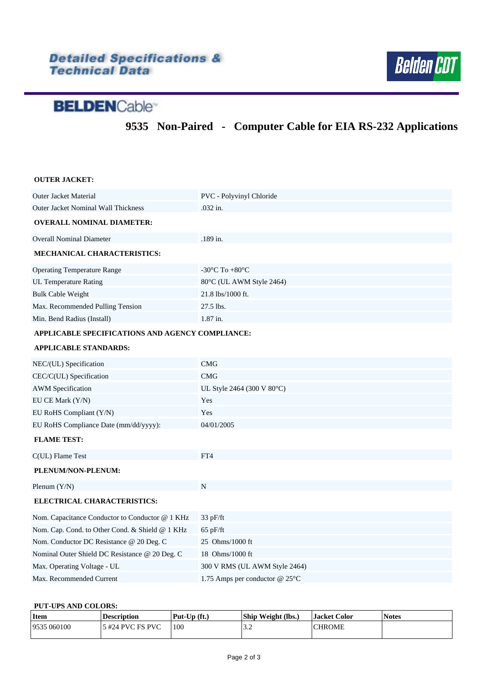# Detailed Specifications &<br>Technical Data



# **BELDEN**Cable<sup>®</sup>

**9535 Non-Paired - Computer Cable for EIA RS-232 Applications**

| <b>OUTER JACKET:</b>                             |                                                      |  |  |  |
|--------------------------------------------------|------------------------------------------------------|--|--|--|
| <b>Outer Jacket Material</b>                     | PVC - Polyvinyl Chloride                             |  |  |  |
| Outer Jacket Nominal Wall Thickness              | .032 in.                                             |  |  |  |
| <b>OVERALL NOMINAL DIAMETER:</b>                 |                                                      |  |  |  |
| <b>Overall Nominal Diameter</b>                  | .189 in.                                             |  |  |  |
| <b>MECHANICAL CHARACTERISTICS:</b>               |                                                      |  |  |  |
| <b>Operating Temperature Range</b>               | -30 $\mathrm{^{\circ}C}$ To +80 $\mathrm{^{\circ}C}$ |  |  |  |
| <b>UL Temperature Rating</b>                     | 80°C (UL AWM Style 2464)                             |  |  |  |
| <b>Bulk Cable Weight</b>                         | 21.8 lbs/1000 ft.                                    |  |  |  |
| Max. Recommended Pulling Tension                 | 27.5 lbs.                                            |  |  |  |
| Min. Bend Radius (Install)                       | 1.87 in.                                             |  |  |  |
| APPLICABLE SPECIFICATIONS AND AGENCY COMPLIANCE: |                                                      |  |  |  |
| <b>APPLICABLE STANDARDS:</b>                     |                                                      |  |  |  |
| NEC/(UL) Specification                           | <b>CMG</b>                                           |  |  |  |
| CEC/C(UL) Specification                          | <b>CMG</b>                                           |  |  |  |
| <b>AWM</b> Specification                         | UL Style 2464 (300 V 80°C)                           |  |  |  |
| EU CE Mark (Y/N)                                 | Yes                                                  |  |  |  |
| EU RoHS Compliant (Y/N)                          | Yes                                                  |  |  |  |
| EU RoHS Compliance Date (mm/dd/yyyy):            | 04/01/2005                                           |  |  |  |
| <b>FLAME TEST:</b>                               |                                                      |  |  |  |
| C(UL) Flame Test                                 | FT4                                                  |  |  |  |
| PLENUM/NON-PLENUM:                               |                                                      |  |  |  |
| Plenum (Y/N)                                     | N                                                    |  |  |  |
| ELECTRICAL CHARACTERISTICS:                      |                                                      |  |  |  |
| Nom. Capacitance Conductor to Conductor @ 1 KHz  | 33 pF/ft                                             |  |  |  |
| Nom. Cap. Cond. to Other Cond. & Shield @ 1 KHz  | $65$ pF/ft                                           |  |  |  |
| Nom. Conductor DC Resistance @ 20 Deg. C         | 25 Ohms/1000 ft                                      |  |  |  |
| Nominal Outer Shield DC Resistance @ 20 Deg. C   | 18 Ohms/1000 ft                                      |  |  |  |
| Max. Operating Voltage - UL                      | 300 V RMS (UL AWM Style 2464)                        |  |  |  |
| Max. Recommended Current                         | 1.75 Amps per conductor $@25°C$                      |  |  |  |

#### <span id="page-1-0"></span>**PUT-UPS AND COLORS:**

| Item        | <b>Description</b> | $Put$ -Up $(ft.)$ | <b>Ship Weight (lbs.)</b> | <b>Jacket Color</b> | <b>Notes</b> |
|-------------|--------------------|-------------------|---------------------------|---------------------|--------------|
| 9535 060100 | 5 #24 PVC FS PVC   | 100               | $\sim$ $\sim$<br>ے . ۔    | <b>CHROME</b>       |              |